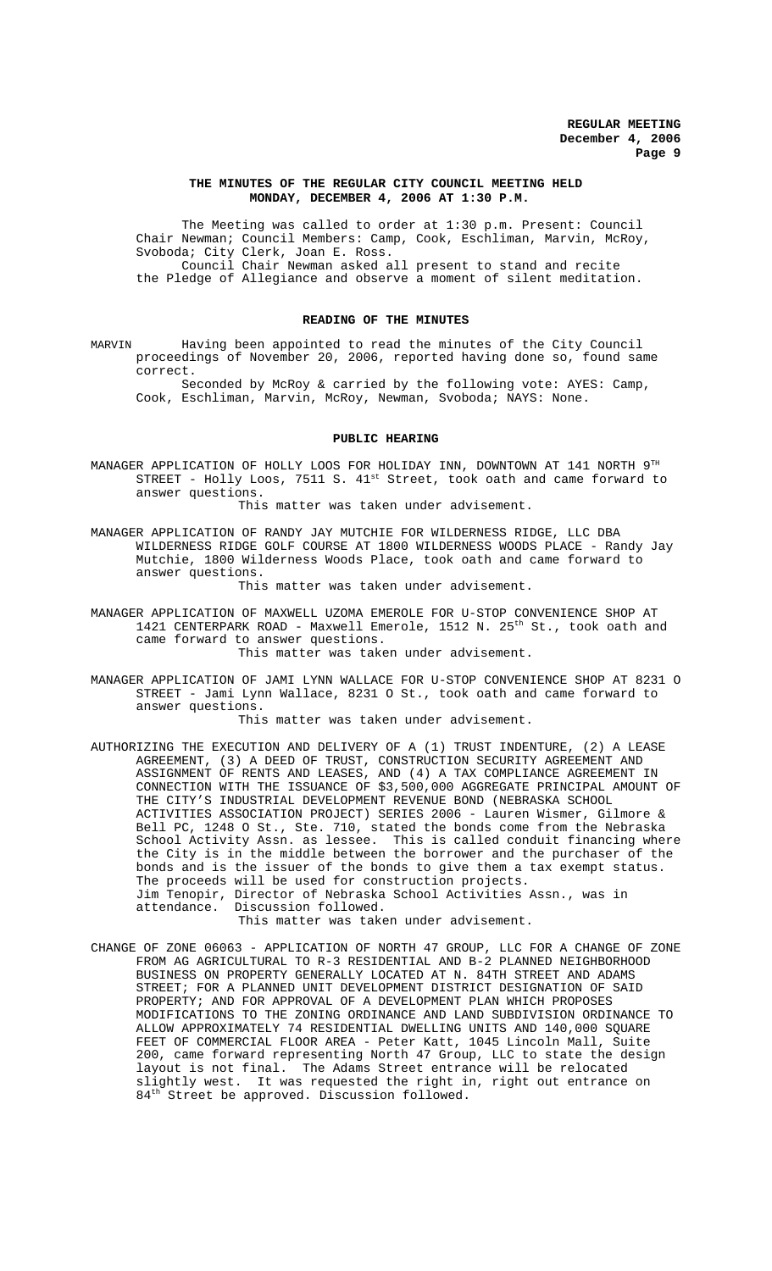## **THE MINUTES OF THE REGULAR CITY COUNCIL MEETING HELD MONDAY, DECEMBER 4, 2006 AT 1:30 P.M.**

The Meeting was called to order at 1:30 p.m. Present: Council Chair Newman; Council Members: Camp, Cook, Eschliman, Marvin, McRoy, Svoboda; City Clerk, Joan E. Ross. Council Chair Newman asked all present to stand and recite the Pledge of Allegiance and observe a moment of silent meditation.

## **READING OF THE MINUTES**

MARVIN Having been appointed to read the minutes of the City Council proceedings of November 20, 2006, reported having done so, found same correct.

Seconded by McRoy & carried by the following vote: AYES: Camp, Cook, Eschliman, Marvin, McRoy, Newman, Svoboda; NAYS: None.

#### **PUBLIC HEARING**

MANAGER APPLICATION OF HOLLY LOOS FOR HOLIDAY INN, DOWNTOWN AT 141 NORTH 9TH STREET - Holly Loos, 7511 S. 41<sup>st</sup> Street, took oath and came forward to answer questions.

This matter was taken under advisement.

MANAGER APPLICATION OF RANDY JAY MUTCHIE FOR WILDERNESS RIDGE, LLC DBA WILDERNESS RIDGE GOLF COURSE AT 1800 WILDERNESS WOODS PLACE - Randy Jay Mutchie, 1800 Wilderness Woods Place, took oath and came forward to answer questions.

This matter was taken under advisement.

MANAGER APPLICATION OF MAXWELL UZOMA EMEROLE FOR U-STOP CONVENIENCE SHOP AT 1421 CENTERPARK ROAD - Maxwell Emerole, 1512 N. 25th St., took oath and came forward to answer questions. This matter was taken under advisement.

MANAGER APPLICATION OF JAMI LYNN WALLACE FOR U-STOP CONVENIENCE SHOP AT 8231 O STREET - Jami Lynn Wallace, 8231 O St., took oath and came forward to answer questions.

This matter was taken under advisement.

AUTHORIZING THE EXECUTION AND DELIVERY OF A (1) TRUST INDENTURE, (2) A LEASE AGREEMENT, (3) A DEED OF TRUST, CONSTRUCTION SECURITY AGREEMENT AND ASSIGNMENT OF RENTS AND LEASES, AND (4) A TAX COMPLIANCE AGREEMENT IN CONNECTION WITH THE ISSUANCE OF \$3,500,000 AGGREGATE PRINCIPAL AMOUNT OF THE CITY'S INDUSTRIAL DEVELOPMENT REVENUE BOND (NEBRASKA SCHOOL ACTIVITIES ASSOCIATION PROJECT) SERIES 2006 - Lauren Wismer, Gilmore & Bell PC, 1248 O St., Ste. 710, stated the bonds come from the Nebraska School Activity Assn. as lessee. This is called conduit financing where the City is in the middle between the borrower and the purchaser of the bonds and is the issuer of the bonds to give them a tax exempt status. The proceeds will be used for construction projects. Jim Tenopir, Director of Nebraska School Activities Assn., was in attendance. Discussion followed. This matter was taken under advisement.

CHANGE OF ZONE 06063 - APPLICATION OF NORTH 47 GROUP, LLC FOR A CHANGE OF ZONE FROM AG AGRICULTURAL TO R-3 RESIDENTIAL AND B-2 PLANNED NEIGHBORHOOD BUSINESS ON PROPERTY GENERALLY LOCATED AT N. 84TH STREET AND ADAMS STREET; FOR A PLANNED UNIT DEVELOPMENT DISTRICT DESIGNATION OF SAID PROPERTY; AND FOR APPROVAL OF A DEVELOPMENT PLAN WHICH PROPOSES MODIFICATIONS TO THE ZONING ORDINANCE AND LAND SUBDIVISION ORDINANCE TO ALLOW APPROXIMATELY 74 RESIDENTIAL DWELLING UNITS AND 140,000 SQUARE FEET OF COMMERCIAL FLOOR AREA - Peter Katt, 1045 Lincoln Mall, Suite 200, came forward representing North 47 Group, LLC to state the design layout is not final. The Adams Street entrance will be relocated slightly west. It was requested the right in, right out entrance on 84<sup>th</sup> Street be approved. Discussion followed.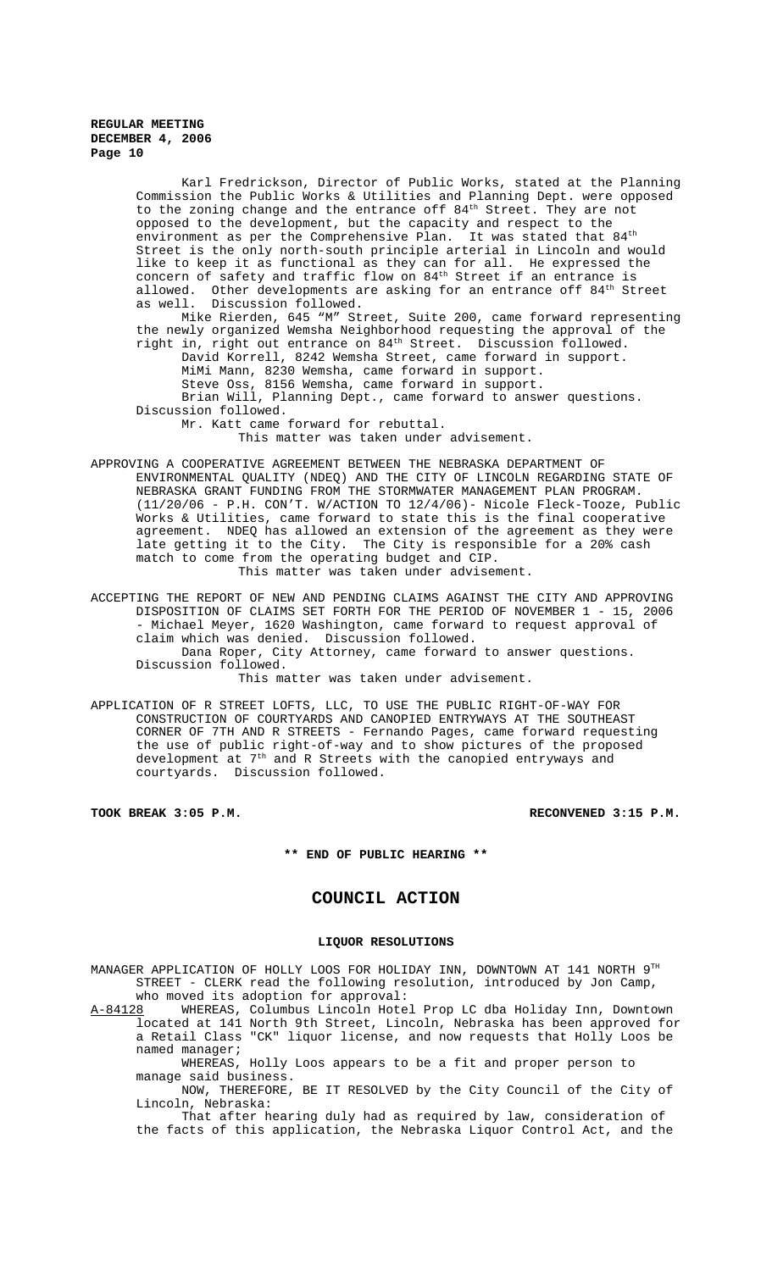Karl Fredrickson, Director of Public Works, stated at the Planning Commission the Public Works & Utilities and Planning Dept. were opposed to the zoning change and the entrance off 84<sup>th</sup> Street. They are not opposed to the development, but the capacity and respect to the environment as per the Comprehensive Plan. It was stated that  $84<sup>th</sup>$ Street is the only north-south principle arterial in Lincoln and would like to keep it as functional as they can for all. He expressed the concern of safety and traffic flow on  $84^{\text{th}}$  Street if an entrance is allowed. Other developments are asking for an entrance off  $84^\mathrm{th}$  Street as well. Discussion followed.

Mike Rierden, 645 "M" Street, Suite 200, came forward representing the newly organized Wemsha Neighborhood requesting the approval of the right in, right out entrance on 84th Street. Discussion followed. David Korrell, 8242 Wemsha Street, came forward in support.

MiMi Mann, 8230 Wemsha, came forward in support. Steve Oss, 8156 Wemsha, came forward in support.

Brian Will, Planning Dept., came forward to answer questions. Discussion followed.

Mr. Katt came forward for rebuttal.

This matter was taken under advisement.

APPROVING A COOPERATIVE AGREEMENT BETWEEN THE NEBRASKA DEPARTMENT OF ENVIRONMENTAL QUALITY (NDEQ) AND THE CITY OF LINCOLN REGARDING STATE OF NEBRASKA GRANT FUNDING FROM THE STORMWATER MANAGEMENT PLAN PROGRAM. (11/20/06 - P.H. CON'T. W/ACTION TO 12/4/06)- Nicole Fleck-Tooze, Public Works & Utilities, came forward to state this is the final cooperative agreement. NDEQ has allowed an extension of the agreement as they were late getting it to the City. The City is responsible for a 20% cash match to come from the operating budget and CIP.

This matter was taken under advisement.

ACCEPTING THE REPORT OF NEW AND PENDING CLAIMS AGAINST THE CITY AND APPROVING DISPOSITION OF CLAIMS SET FORTH FOR THE PERIOD OF NOVEMBER 1 - 15, 2006 - Michael Meyer, 1620 Washington, came forward to request approval of claim which was denied. Discussion followed.

Dana Roper, City Attorney, came forward to answer questions. Discussion followed.

This matter was taken under advisement.

APPLICATION OF R STREET LOFTS, LLC, TO USE THE PUBLIC RIGHT-OF-WAY FOR CONSTRUCTION OF COURTYARDS AND CANOPIED ENTRYWAYS AT THE SOUTHEAST CORNER OF 7TH AND R STREETS - Fernando Pages, came forward requesting the use of public right-of-way and to show pictures of the proposed development at  $7^{\rm th}$  and R Streets with the canopied entryways and courtyards. Discussion followed.

**TOOK BREAK 3:05 P.M. RECONVENED 3:15 P.M.**

#### **\*\* END OF PUBLIC HEARING \*\***

## **COUNCIL ACTION**

## **LIQUOR RESOLUTIONS**

MANAGER APPLICATION OF HOLLY LOOS FOR HOLIDAY INN, DOWNTOWN AT 141 NORTH 9TH STREET - CLERK read the following resolution, introduced by Jon Camp, who moved its adoption for approval:<br>A-84128 WHEREAS, Columbus Lincoln Hote

A-84128 WHEREAS, Columbus Lincoln Hotel Prop LC dba Holiday Inn, Downtown located at 141 North 9th Street, Lincoln, Nebraska has been approved for a Retail Class "CK" liquor license, and now requests that Holly Loos be named manager;

WHEREAS, Holly Loos appears to be a fit and proper person to manage said business.

NOW, THEREFORE, BE IT RESOLVED by the City Council of the City of Lincoln, Nebraska:

That after hearing duly had as required by law, consideration of the facts of this application, the Nebraska Liquor Control Act, and the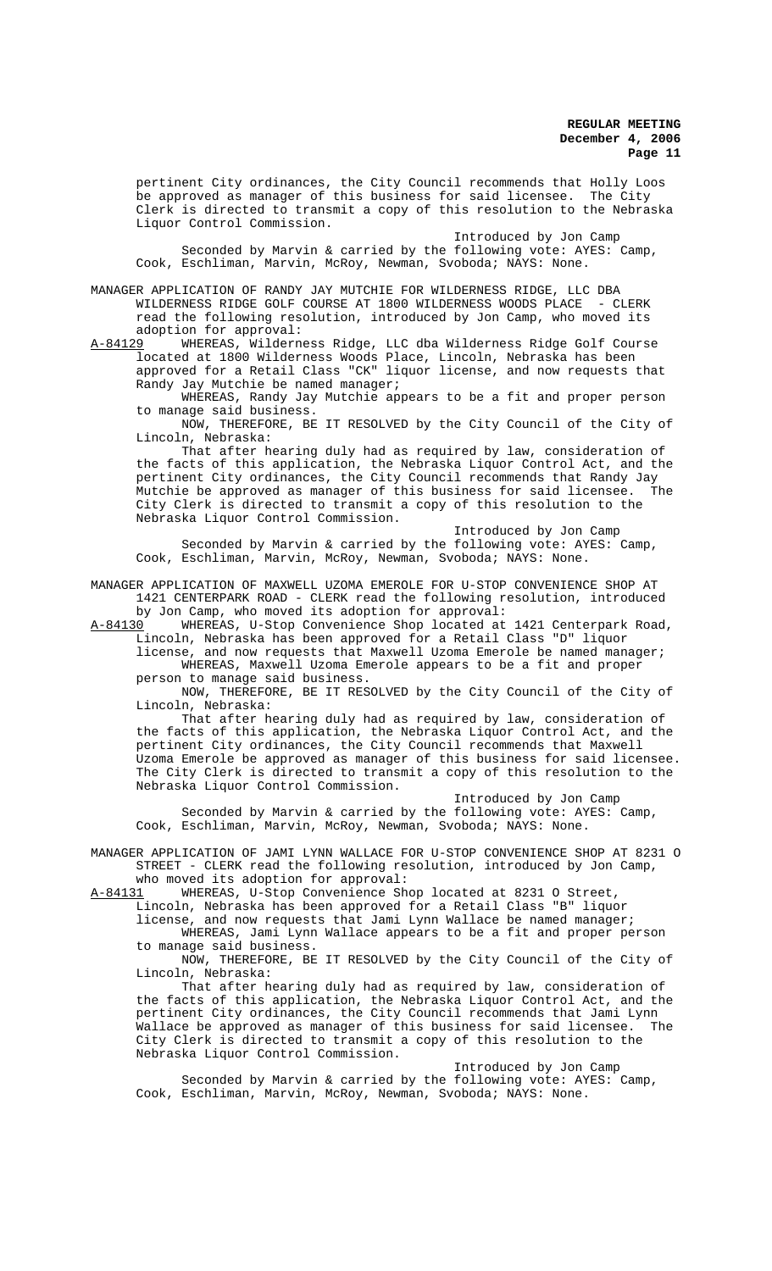pertinent City ordinances, the City Council recommends that Holly Loos be approved as manager of this business for said licensee. The City Clerk is directed to transmit a copy of this resolution to the Nebraska Liquor Control Commission.

Introduced by Jon Camp Seconded by Marvin & carried by the following vote: AYES: Camp, Cook, Eschliman, Marvin, McRoy, Newman, Svoboda; NAYS: None.

MANAGER APPLICATION OF RANDY JAY MUTCHIE FOR WILDERNESS RIDGE, LLC DBA WILDERNESS RIDGE GOLF COURSE AT 1800 WILDERNESS WOODS PLACE - CLERK read the following resolution, introduced by Jon Camp, who moved its adoption for approval:

A-84129 WHEREAS, Wilderness Ridge, LLC dba Wilderness Ridge Golf Course located at 1800 Wilderness Woods Place, Lincoln, Nebraska has been approved for a Retail Class "CK" liquor license, and now requests that Randy Jay Mutchie be named manager;

WHEREAS, Randy Jay Mutchie appears to be a fit and proper person to manage said business.

NOW, THEREFORE, BE IT RESOLVED by the City Council of the City of Lincoln, Nebraska:

That after hearing duly had as required by law, consideration of the facts of this application, the Nebraska Liquor Control Act, and the pertinent City ordinances, the City Council recommends that Randy Jay Mutchie be approved as manager of this business for said licensee. The City Clerk is directed to transmit a copy of this resolution to the Nebraska Liquor Control Commission.

Introduced by Jon Camp Seconded by Marvin & carried by the following vote: AYES: Camp, Cook, Eschliman, Marvin, McRoy, Newman, Svoboda; NAYS: None.

MANAGER APPLICATION OF MAXWELL UZOMA EMEROLE FOR U-STOP CONVENIENCE SHOP AT 1421 CENTERPARK ROAD - CLERK read the following resolution, introduced by Jon Camp, who moved its adoption for approval:

A-84130 WHEREAS, U-Stop Convenience Shop located at 1421 Centerpark Road, Lincoln, Nebraska has been approved for a Retail Class "D" liquor

license, and now requests that Maxwell Uzoma Emerole be named manager; WHEREAS, Maxwell Uzoma Emerole appears to be a fit and proper person to manage said business.

NOW, THEREFORE, BE IT RESOLVED by the City Council of the City of Lincoln, Nebraska:

That after hearing duly had as required by law, consideration of the facts of this application, the Nebraska Liquor Control Act, and the pertinent City ordinances, the City Council recommends that Maxwell Uzoma Emerole be approved as manager of this business for said licensee. The City Clerk is directed to transmit a copy of this resolution to the Nebraska Liquor Control Commission.

Introduced by Jon Camp Seconded by Marvin & carried by the following vote: AYES: Camp, Cook, Eschliman, Marvin, McRoy, Newman, Svoboda; NAYS: None.

MANAGER APPLICATION OF JAMI LYNN WALLACE FOR U-STOP CONVENIENCE SHOP AT 8231 O STREET - CLERK read the following resolution, introduced by Jon Camp, who moved its adoption for approval:

A-84131 WHEREAS, U-Stop Convenience Shop located at 8231 0 Street,

Lincoln, Nebraska has been approved for a Retail Class "B" liquor

license, and now requests that Jami Lynn Wallace be named manager;

WHEREAS, Jami Lynn Wallace appears to be a fit and proper person to manage said business.

NOW, THEREFORE, BE IT RESOLVED by the City Council of the City of Lincoln, Nebraska:

That after hearing duly had as required by law, consideration of the facts of this application, the Nebraska Liquor Control Act, and the pertinent City ordinances, the City Council recommends that Jami Lynn Wallace be approved as manager of this business for said licensee. The City Clerk is directed to transmit a copy of this resolution to the Nebraska Liquor Control Commission.

Introduced by Jon Camp Seconded by Marvin & carried by the following vote: AYES: Camp, Cook, Eschliman, Marvin, McRoy, Newman, Svoboda; NAYS: None.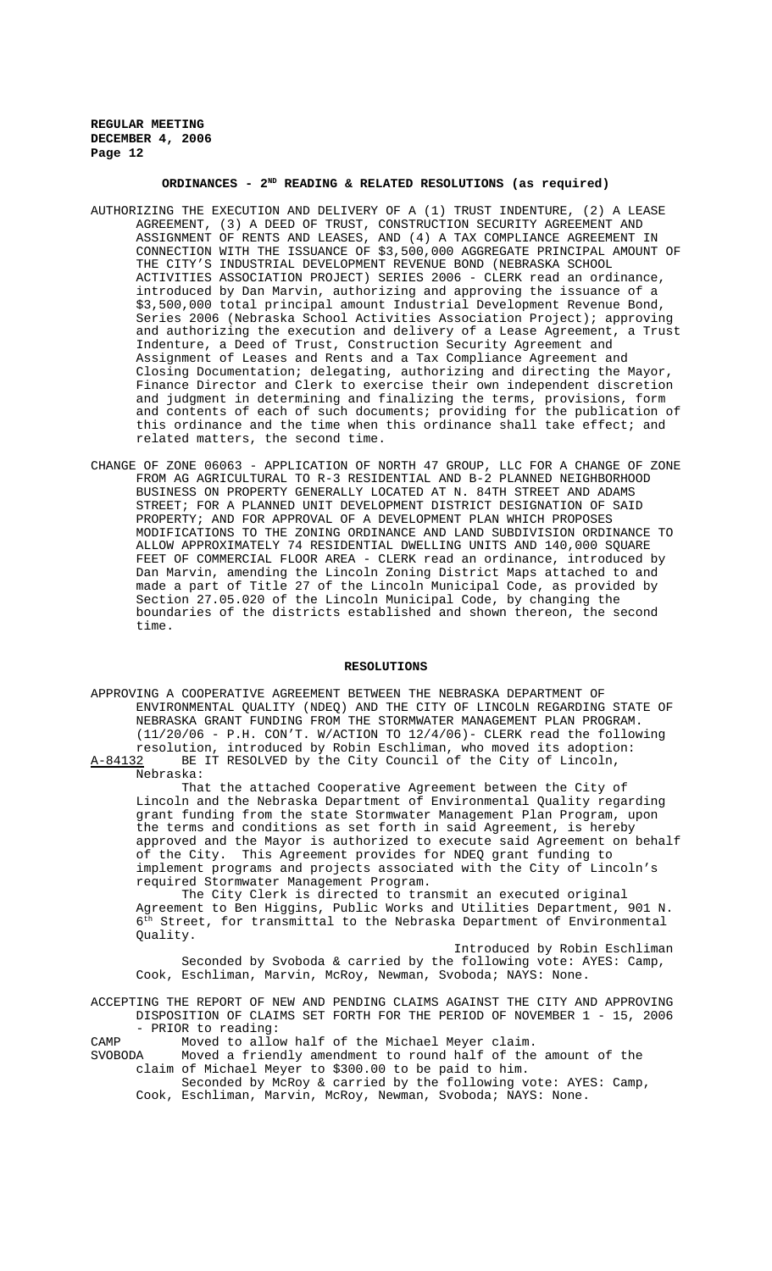# **ORDINANCES - 2ND READING & RELATED RESOLUTIONS (as required)**

- AUTHORIZING THE EXECUTION AND DELIVERY OF A (1) TRUST INDENTURE, (2) A LEASE AGREEMENT, (3) A DEED OF TRUST, CONSTRUCTION SECURITY AGREEMENT AND ASSIGNMENT OF RENTS AND LEASES, AND (4) A TAX COMPLIANCE AGREEMENT IN CONNECTION WITH THE ISSUANCE OF \$3,500,000 AGGREGATE PRINCIPAL AMOUNT OF THE CITY'S INDUSTRIAL DEVELOPMENT REVENUE BOND (NEBRASKA SCHOOL ACTIVITIES ASSOCIATION PROJECT) SERIES 2006 - CLERK read an ordinance, introduced by Dan Marvin, authorizing and approving the issuance of a \$3,500,000 total principal amount Industrial Development Revenue Bond, Series 2006 (Nebraska School Activities Association Project); approving and authorizing the execution and delivery of a Lease Agreement, a Trust Indenture, a Deed of Trust, Construction Security Agreement and Assignment of Leases and Rents and a Tax Compliance Agreement and Closing Documentation; delegating, authorizing and directing the Mayor, Finance Director and Clerk to exercise their own independent discretion and judgment in determining and finalizing the terms, provisions, form and contents of each of such documents; providing for the publication of this ordinance and the time when this ordinance shall take effect; and related matters, the second time.
- CHANGE OF ZONE 06063 APPLICATION OF NORTH 47 GROUP, LLC FOR A CHANGE OF ZONE FROM AG AGRICULTURAL TO R-3 RESIDENTIAL AND B-2 PLANNED NEIGHBORHOOD BUSINESS ON PROPERTY GENERALLY LOCATED AT N. 84TH STREET AND ADAMS STREET; FOR A PLANNED UNIT DEVELOPMENT DISTRICT DESIGNATION OF SAID PROPERTY; AND FOR APPROVAL OF A DEVELOPMENT PLAN WHICH PROPOSES MODIFICATIONS TO THE ZONING ORDINANCE AND LAND SUBDIVISION ORDINANCE TO ALLOW APPROXIMATELY 74 RESIDENTIAL DWELLING UNITS AND 140,000 SQUARE FEET OF COMMERCIAL FLOOR AREA - CLERK read an ordinance, introduced by Dan Marvin, amending the Lincoln Zoning District Maps attached to and made a part of Title 27 of the Lincoln Municipal Code, as provided by Section 27.05.020 of the Lincoln Municipal Code, by changing the boundaries of the districts established and shown thereon, the second time.

### **RESOLUTIONS**

APPROVING A COOPERATIVE AGREEMENT BETWEEN THE NEBRASKA DEPARTMENT OF ENVIRONMENTAL QUALITY (NDEQ) AND THE CITY OF LINCOLN REGARDING STATE OF NEBRASKA GRANT FUNDING FROM THE STORMWATER MANAGEMENT PLAN PROGRAM. (11/20/06 - P.H. CON'T. W/ACTION TO 12/4/06)- CLERK read the following resolution, introduced by Robin Eschliman, who moved its adoption: A-84132 BE IT RESOLVED by the City Council of the City of Lincoln,

Nebraska:

That the attached Cooperative Agreement between the City of Lincoln and the Nebraska Department of Environmental Quality regarding grant funding from the state Stormwater Management Plan Program, upon the terms and conditions as set forth in said Agreement, is hereby approved and the Mayor is authorized to execute said Agreement on behalf of the City. This Agreement provides for NDEQ grant funding to implement programs and projects associated with the City of Lincoln's required Stormwater Management Program.

The City Clerk is directed to transmit an executed original Agreement to Ben Higgins, Public Works and Utilities Department, 901 N.  $6<sup>th</sup>$  Street, for transmittal to the Nebraska Department of Environmental Quality.

Introduced by Robin Eschliman Seconded by Svoboda & carried by the following vote: AYES: Camp, Cook, Eschliman, Marvin, McRoy, Newman, Svoboda; NAYS: None.

ACCEPTING THE REPORT OF NEW AND PENDING CLAIMS AGAINST THE CITY AND APPROVING DISPOSITION OF CLAIMS SET FORTH FOR THE PERIOD OF NOVEMBER 1 - 15, 2006 - PRIOR to reading:

CAMP Moved to allow half of the Michael Meyer claim.<br>SVOBODA Moved a friendly amendment to round half of the

Moved a friendly amendment to round half of the amount of the claim of Michael Meyer to \$300.00 to be paid to him.

Seconded by McRoy & carried by the following vote: AYES: Camp, Cook, Eschliman, Marvin, McRoy, Newman, Svoboda; NAYS: None.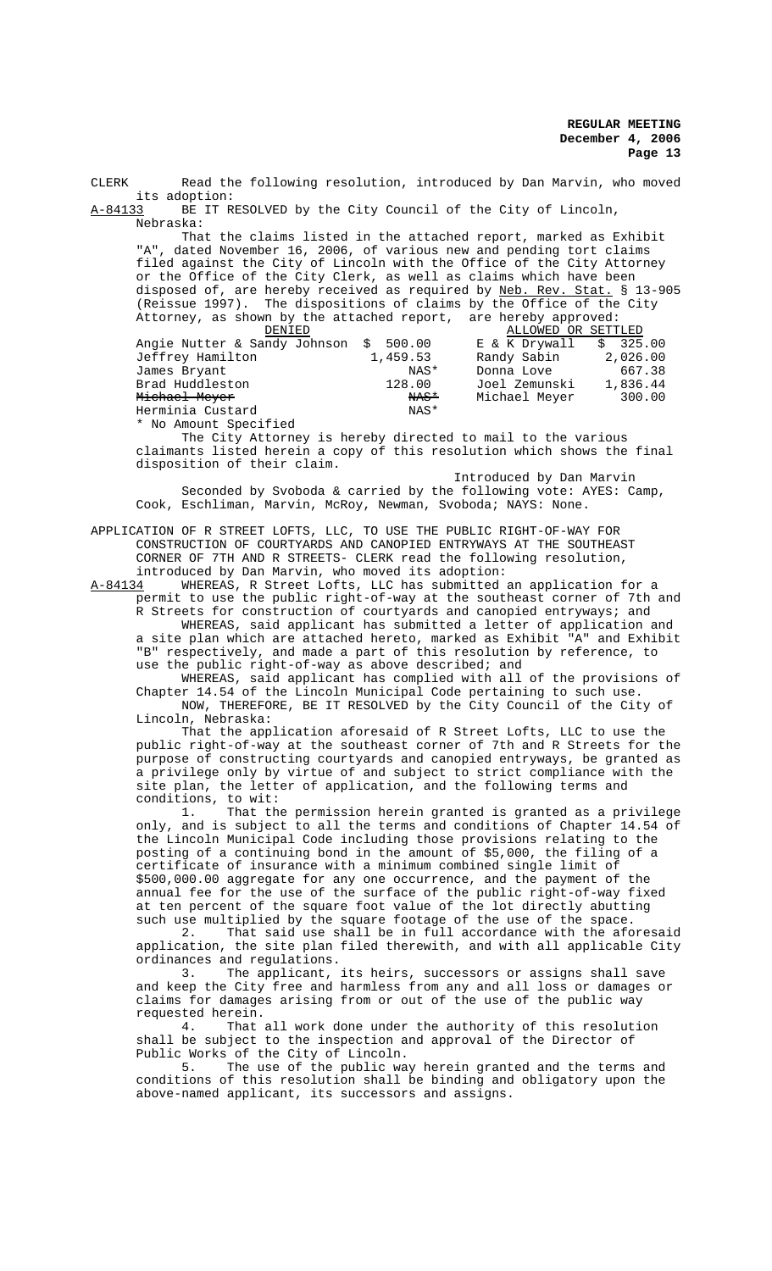CLERK Read the following resolution, introduced by Dan Marvin, who moved its adoption: A-84133 BE IT RESOLVED by the City Council of the City of Lincoln, Nebraska: That the claims listed in the attached report, marked as Exhibit "A", dated November 16, 2006, of various new and pending tort claims filed against the City of Lincoln with the Office of the City Attorney or the Office of the City Clerk, as well as claims which have been disposed of, are hereby received as required by Neb. Rev. Stat. § 13-905 (Reissue 1997). The dispositions of claims by the Office of the City Attorney, as shown by the attached report, are hereby approved:<br>DENIED MLLOWED OR SETT ALLOWED OR SETTLED<br>E & K Drywall \$ 325.00 Angie Nutter & Sandy Johnson \$ 500.00 E & K Drywall \$ 325.00<br>Jeffrey Hamilton 1,459.53 Randy Sabin 2,026.00 Jeffrey Hamilton 1,459.53<br>James Bryant NAS\* James Bryant NAS\* Donna Love 667.38 action 1081 Zemunski<br>Rast 1188.445.1445.00 Michael Meyer Michael Meyer NAS\* Michael Meyer 300.00 Herminia Custard \* No Amount Specified The City Attorney is hereby directed to mail to the various claimants listed herein a copy of this resolution which shows the final disposition of their claim. Introduced by Dan Marvin Seconded by Svoboda & carried by the following vote: AYES: Camp, Cook, Eschliman, Marvin, McRoy, Newman, Svoboda; NAYS: None. APPLICATION OF R STREET LOFTS, LLC, TO USE THE PUBLIC RIGHT-OF-WAY FOR CONSTRUCTION OF COURTYARDS AND CANOPIED ENTRYWAYS AT THE SOUTHEAST CORNER OF 7TH AND R STREETS- CLERK read the following resolution, introduced by Dan Marvin, who moved its adoption:<br>A-84134 WHEREAS. R Street Lofts. LLC has submitted. A-84134 MHEREAS, R Street Lofts, LLC has submitted an application for a permit to use the public right-of-way at the southeast corner of 7th and R Streets for construction of courtyards and canopied entryways; and WHEREAS, said applicant has submitted a letter of application and a site plan which are attached hereto, marked as Exhibit "A" and Exhibit "B" respectively, and made a part of this resolution by reference, to use the public right-of-way as above described; and WHEREAS, said applicant has complied with all of the provisions of Chapter 14.54 of the Lincoln Municipal Code pertaining to such use. NOW, THEREFORE, BE IT RESOLVED by the City Council of the City of Lincoln, Nebraska: That the application aforesaid of R Street Lofts, LLC to use the public right-of-way at the southeast corner of 7th and R Streets for the purpose of constructing courtyards and canopied entryways, be granted as a privilege only by virtue of and subject to strict compliance with the site plan, the letter of application, and the following terms and conditions, to wit: 1. That the permission herein granted is granted as a privilege only, and is subject to all the terms and conditions of Chapter 14.54 of the Lincoln Municipal Code including those provisions relating to the posting of a continuing bond in the amount of \$5,000, the filing of a certificate of insurance with a minimum combined single limit of \$500,000.00 aggregate for any one occurrence, and the payment of the annual fee for the use of the surface of the public right-of-way fixed at ten percent of the square foot value of the lot directly abutting such use multiplied by the square footage of the use of the space.<br>2. That said use shall be in full accordance with the afo That said use shall be in full accordance with the aforesaid application, the site plan filed therewith, and with all applicable City ordinances and regulations. 3. The applicant, its heirs, successors or assigns shall save and keep the City free and harmless from any and all loss or damages or claims for damages arising from or out of the use of the public way requested herein.<br>4. That That all work done under the authority of this resolution shall be subject to the inspection and approval of the Director of Public Works of the City of Lincoln. 5. The use of the public way herein granted and the terms and conditions of this resolution shall be binding and obligatory upon the above-named applicant, its successors and assigns.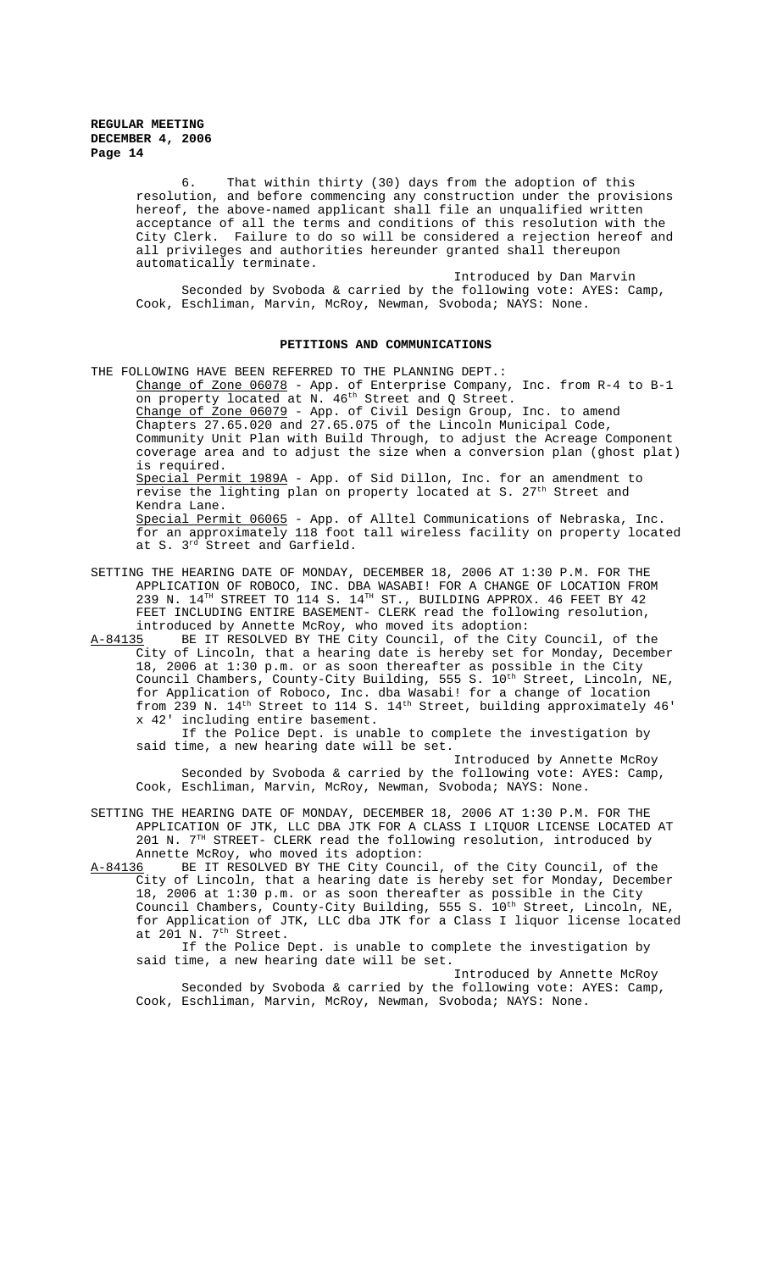> 6. That within thirty (30) days from the adoption of this resolution, and before commencing any construction under the provisions hereof, the above-named applicant shall file an unqualified written acceptance of all the terms and conditions of this resolution with the City Clerk. Failure to do so will be considered a rejection hereof and all privileges and authorities hereunder granted shall thereupon automatically terminate.

Introduced by Dan Marvin Seconded by Svoboda & carried by the following vote: AYES: Camp, Cook, Eschliman, Marvin, McRoy, Newman, Svoboda; NAYS: None.

## **PETITIONS AND COMMUNICATIONS**

THE FOLLOWING HAVE BEEN REFERRED TO THE PLANNING DEPT.:

Change of Zone 06078 - App. of Enterprise Company, Inc. from R-4 to B-1 on property located at N. 46th Street and Q Street. Change of Zone 06079 - App. of Civil Design Group, Inc. to amend Chapters 27.65.020 and 27.65.075 of the Lincoln Municipal Code, Community Unit Plan with Build Through, to adjust the Acreage Component coverage area and to adjust the size when a conversion plan (ghost plat) is required. Special Permit 1989A - App. of Sid Dillon, Inc. for an amendment to

revise the lighting plan on property located at S.  $27<sup>th</sup>$  Street and Kendra Lane.

Special Permit 06065 - App. of Alltel Communications of Nebraska, Inc. for an approximately 118 foot tall wireless facility on property located at S. 3rd Street and Garfield.

- SETTING THE HEARING DATE OF MONDAY, DECEMBER 18, 2006 AT 1:30 P.M. FOR THE APPLICATION OF ROBOCO, INC. DBA WASABI! FOR A CHANGE OF LOCATION FROM 239 N.  $14^{TH}$  STREET TO 114 S.  $14^{TH}$  ST., BUILDING APPROX. 46 FEET BY 42 FEET INCLUDING ENTIRE BASEMENT- CLERK read the following resolution, introduced by Annette McRoy, who moved its adoption:<br>A-84135 BE IT RESOLVED BY THE City Council, of the Cit
- BE IT RESOLVED BY THE City Council, of the City Council, of the City of Lincoln, that a hearing date is hereby set for Monday, December 18, 2006 at 1:30 p.m. or as soon thereafter as possible in the City Council Chambers, County-City Building, 555 S. 10<sup>th</sup> Street, Lincoln, NE, for Application of Roboco, Inc. dba Wasabi! for a change of location from 239 N. 14<sup>th</sup> Street to 114 S. 14<sup>th</sup> Street, building approximately 46' x 42' including entire basement.

If the Police Dept. is unable to complete the investigation by said time, a new hearing date will be set.

Introduced by Annette McRoy Seconded by Svoboda & carried by the following vote: AYES: Camp, Cook, Eschliman, Marvin, McRoy, Newman, Svoboda; NAYS: None.

SETTING THE HEARING DATE OF MONDAY, DECEMBER 18, 2006 AT 1:30 P.M. FOR THE APPLICATION OF JTK, LLC DBA JTK FOR A CLASS I LIQUOR LICENSE LOCATED AT 201 N.  $7^{\text{th}}$  STREET- CLERK read the following resolution, introduced by Annette McRoy, who moved its adoption:

A-84136 BE IT RESOLVED BY THE City Council, of the City Council, of the City of Lincoln, that a hearing date is hereby set for Monday, December 18, 2006 at 1:30 p.m. or as soon thereafter as possible in the City Council Chambers, County-City Building, 555 S. 10<sup>th</sup> Street, Lincoln, NE, for Application of JTK, LLC dba JTK for a Class I liquor license located at 201 N. 7<sup>th</sup> Street.

If the Police Dept. is unable to complete the investigation by said time, a new hearing date will be set.

Introduced by Annette McRoy Seconded by Svoboda & carried by the following vote: AYES: Camp, Cook, Eschliman, Marvin, McRoy, Newman, Svoboda; NAYS: None.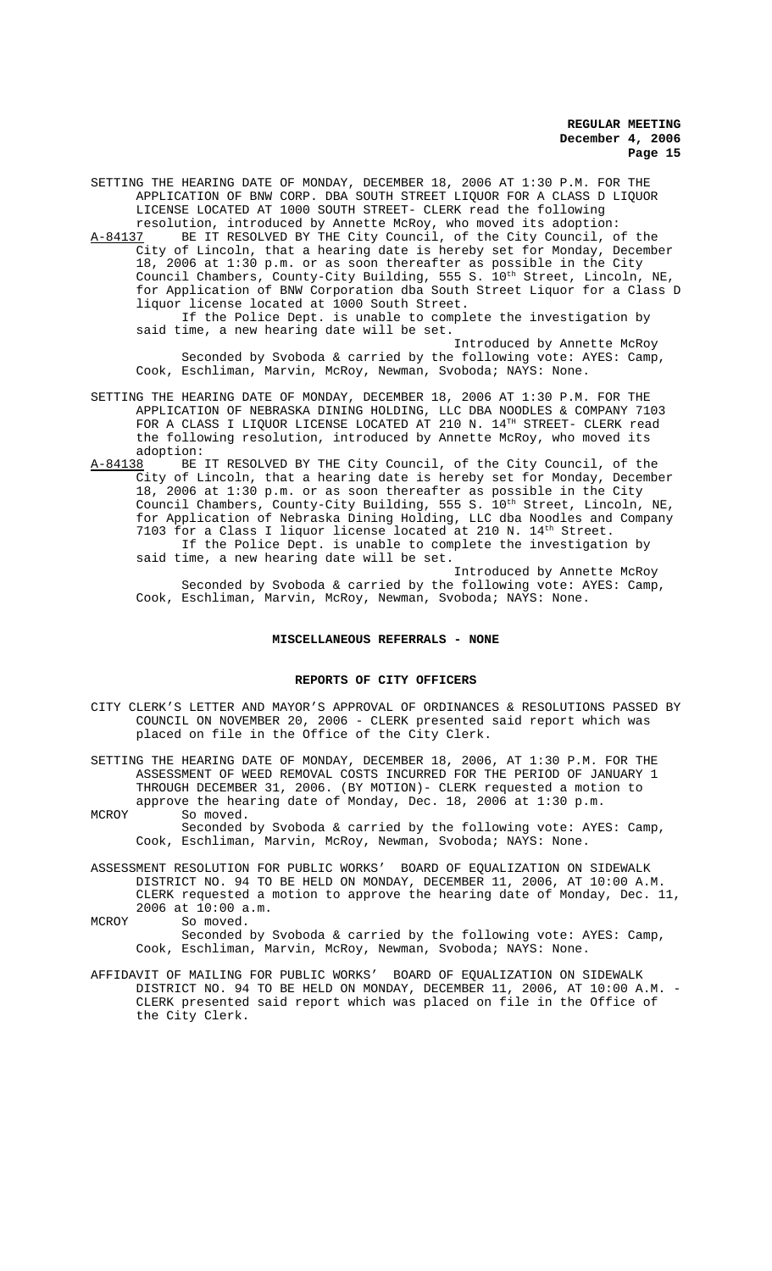SETTING THE HEARING DATE OF MONDAY, DECEMBER 18, 2006 AT 1:30 P.M. FOR THE APPLICATION OF BNW CORP. DBA SOUTH STREET LIQUOR FOR A CLASS D LIQUOR LICENSE LOCATED AT 1000 SOUTH STREET- CLERK read the following

resolution, introduced by Annette McRoy, who moved its adoption:<br>A-84137 BE IT RESOLVED BY THE City Council, of the City Council, o BE IT RESOLVED BY THE City Council, of the City Council, of the City of Lincoln, that a hearing date is hereby set for Monday, December 18, 2006 at 1:30 p.m. or as soon thereafter as possible in the City Council Chambers, County-City Building, 555 S. 10<sup>th</sup> Street, Lincoln, NE, for Application of BNW Corporation dba South Street Liquor for a Class D liquor license located at 1000 South Street.

If the Police Dept. is unable to complete the investigation by said time, a new hearing date will be set.

Introduced by Annette McRoy Seconded by Svoboda & carried by the following vote: AYES: Camp, Cook, Eschliman, Marvin, McRoy, Newman, Svoboda; NAYS: None.

- SETTING THE HEARING DATE OF MONDAY, DECEMBER 18, 2006 AT 1:30 P.M. FOR THE APPLICATION OF NEBRASKA DINING HOLDING, LLC DBA NOODLES & COMPANY 7103 FOR A CLASS I LIQUOR LICENSE LOCATED AT 210 N. 14TH STREET- CLERK read the following resolution, introduced by Annette McRoy, who moved its adoption:
- A-84138 BE IT RESOLVED BY THE City Council, of the City Council, of the City of Lincoln, that a hearing date is hereby set for Monday, December 18, 2006 at 1:30 p.m. or as soon thereafter as possible in the City Council Chambers, County-City Building, 555 S.  $10^{th}$  Street, Lincoln, NE, for Application of Nebraska Dining Holding, LLC dba Noodles and Company 7103 for a Class I liquor license located at 210 N.  $14<sup>th</sup>$  Street. If the Police Dept. is unable to complete the investigation by said time, a new hearing date will be set.

Introduced by Annette McRoy Seconded by Svoboda & carried by the following vote: AYES: Camp, Cook, Eschliman, Marvin, McRoy, Newman, Svoboda; NAYS: None.

## **MISCELLANEOUS REFERRALS - NONE**

#### **REPORTS OF CITY OFFICERS**

CITY CLERK'S LETTER AND MAYOR'S APPROVAL OF ORDINANCES & RESOLUTIONS PASSED BY COUNCIL ON NOVEMBER 20, 2006 - CLERK presented said report which was placed on file in the Office of the City Clerk.

SETTING THE HEARING DATE OF MONDAY, DECEMBER 18, 2006, AT 1:30 P.M. FOR THE ASSESSMENT OF WEED REMOVAL COSTS INCURRED FOR THE PERIOD OF JANUARY 1 THROUGH DECEMBER 31, 2006. (BY MOTION)- CLERK requested a motion to approve the hearing date of Monday, Dec. 18, 2006 at 1:30 p.m.

MCROY So moved. Seconded by Svoboda & carried by the following vote: AYES: Camp, Cook, Eschliman, Marvin, McRoy, Newman, Svoboda; NAYS: None.

ASSESSMENT RESOLUTION FOR PUBLIC WORKS' BOARD OF EQUALIZATION ON SIDEWALK DISTRICT NO. 94 TO BE HELD ON MONDAY, DECEMBER 11, 2006, AT 10:00 A.M. CLERK requested a motion to approve the hearing date of Monday, Dec. 11, 2006 at 10:00 a.m.

MCROY So moved.

Seconded by Svoboda & carried by the following vote: AYES: Camp, Cook, Eschliman, Marvin, McRoy, Newman, Svoboda; NAYS: None.

AFFIDAVIT OF MAILING FOR PUBLIC WORKS' BOARD OF EQUALIZATION ON SIDEWALK DISTRICT NO. 94 TO BE HELD ON MONDAY, DECEMBER 11, 2006, AT 10:00 A.M. - CLERK presented said report which was placed on file in the Office of the City Clerk.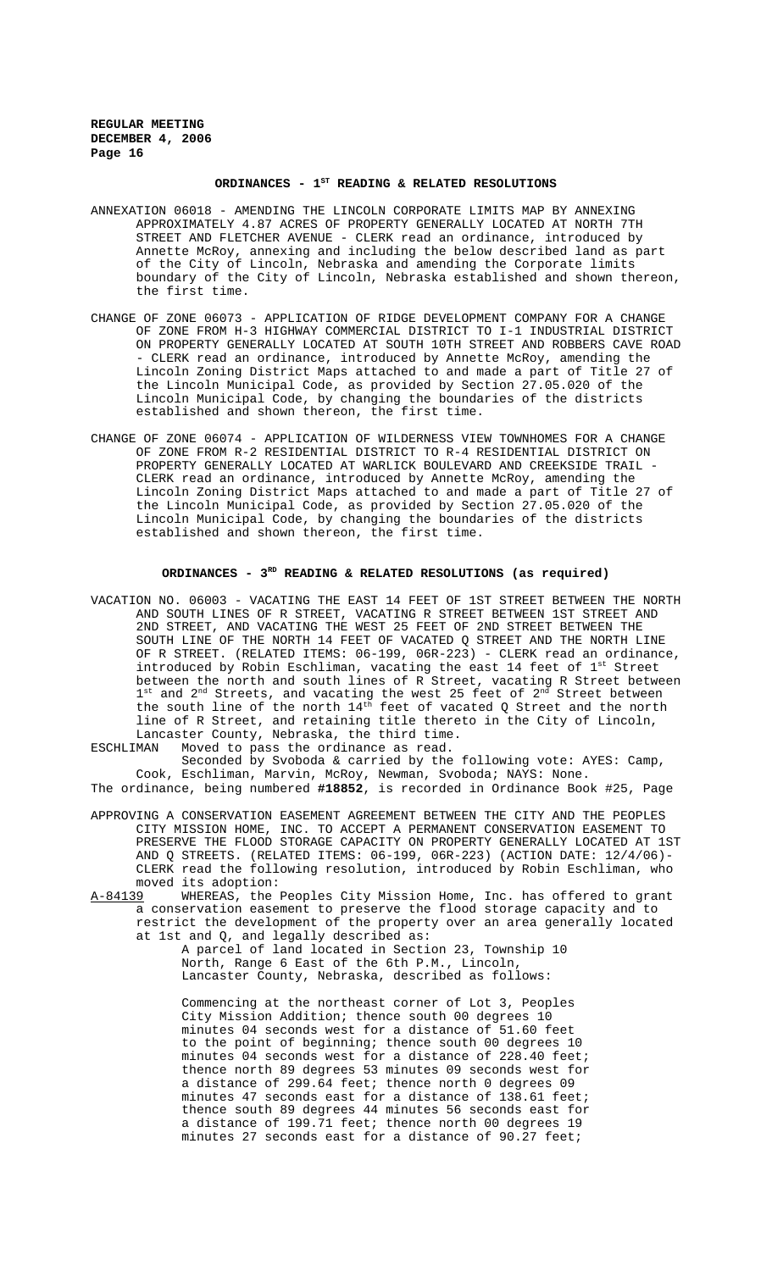## ORDINANCES - 1<sup>st</sup> READING & RELATED RESOLUTIONS

- ANNEXATION 06018 AMENDING THE LINCOLN CORPORATE LIMITS MAP BY ANNEXING APPROXIMATELY 4.87 ACRES OF PROPERTY GENERALLY LOCATED AT NORTH 7TH STREET AND FLETCHER AVENUE - CLERK read an ordinance, introduced by Annette McRoy, annexing and including the below described land as part of the City of Lincoln, Nebraska and amending the Corporate limits boundary of the City of Lincoln, Nebraska established and shown thereon, the first time.
- CHANGE OF ZONE 06073 APPLICATION OF RIDGE DEVELOPMENT COMPANY FOR A CHANGE OF ZONE FROM H-3 HIGHWAY COMMERCIAL DISTRICT TO I-1 INDUSTRIAL DISTRICT ON PROPERTY GENERALLY LOCATED AT SOUTH 10TH STREET AND ROBBERS CAVE ROAD - CLERK read an ordinance, introduced by Annette McRoy, amending the Lincoln Zoning District Maps attached to and made a part of Title 27 of the Lincoln Municipal Code, as provided by Section 27.05.020 of the Lincoln Municipal Code, by changing the boundaries of the districts established and shown thereon, the first time.
- CHANGE OF ZONE 06074 APPLICATION OF WILDERNESS VIEW TOWNHOMES FOR A CHANGE OF ZONE FROM R-2 RESIDENTIAL DISTRICT TO R-4 RESIDENTIAL DISTRICT ON PROPERTY GENERALLY LOCATED AT WARLICK BOULEVARD AND CREEKSIDE TRAIL - CLERK read an ordinance, introduced by Annette McRoy, amending the Lincoln Zoning District Maps attached to and made a part of Title 27 of the Lincoln Municipal Code, as provided by Section 27.05.020 of the Lincoln Municipal Code, by changing the boundaries of the districts established and shown thereon, the first time.

## **ORDINANCES - 3RD READING & RELATED RESOLUTIONS (as required)**

VACATION NO. 06003 - VACATING THE EAST 14 FEET OF 1ST STREET BETWEEN THE NORTH AND SOUTH LINES OF R STREET, VACATING R STREET BETWEEN 1ST STREET AND 2ND STREET, AND VACATING THE WEST 25 FEET OF 2ND STREET BETWEEN THE SOUTH LINE OF THE NORTH 14 FEET OF VACATED Q STREET AND THE NORTH LINE OF R STREET. (RELATED ITEMS: 06-199, 06R-223) - CLERK read an ordinance, introduced by Robin Eschliman, vacating the east 14 feet of 1st Street between the north and south lines of R Street, vacating R Street between  $1^{st}$  and  $2^{nd}$  Streets, and vacating the west 25 feet of  $2^{nd}$  Street between the south line of the north  $14<sup>th</sup>$  feet of vacated Q Street and the north line of R Street, and retaining title thereto in the City of Lincoln, Lancaster County, Nebraska, the third time.

ESCHLIMAN Moved to pass the ordinance as read. Seconded by Svoboda & carried by the following vote: AYES: Camp,

Cook, Eschliman, Marvin, McRoy, Newman, Svoboda; NAYS: None. The ordinance, being numbered **#18852**, is recorded in Ordinance Book #25, Page

APPROVING A CONSERVATION EASEMENT AGREEMENT BETWEEN THE CITY AND THE PEOPLES CITY MISSION HOME, INC. TO ACCEPT A PERMANENT CONSERVATION EASEMENT TO PRESERVE THE FLOOD STORAGE CAPACITY ON PROPERTY GENERALLY LOCATED AT 1ST AND Q STREETS. (RELATED ITEMS: 06-199, 06R-223) (ACTION DATE: 12/4/06)- CLERK read the following resolution, introduced by Robin Eschliman, who moved its adoption:

A-84139 WHEREAS, the Peoples City Mission Home, Inc. has offered to grant a conservation easement to preserve the flood storage capacity and to restrict the development of the property over an area generally located at 1st and Q, and legally described as:

A parcel of land located in Section 23, Township 10 North, Range 6 East of the 6th P.M., Lincoln, Lancaster County, Nebraska, described as follows:

Commencing at the northeast corner of Lot 3, Peoples City Mission Addition; thence south 00 degrees 10 minutes 04 seconds west for a distance of 51.60 feet to the point of beginning; thence south 00 degrees 10 minutes 04 seconds west for a distance of 228.40 feet; thence north 89 degrees 53 minutes 09 seconds west for a distance of 299.64 feet; thence north 0 degrees 09 minutes 47 seconds east for a distance of 138.61 feet; thence south 89 degrees 44 minutes 56 seconds east for a distance of 199.71 feet; thence north 00 degrees 19 minutes 27 seconds east for a distance of 90.27 feet;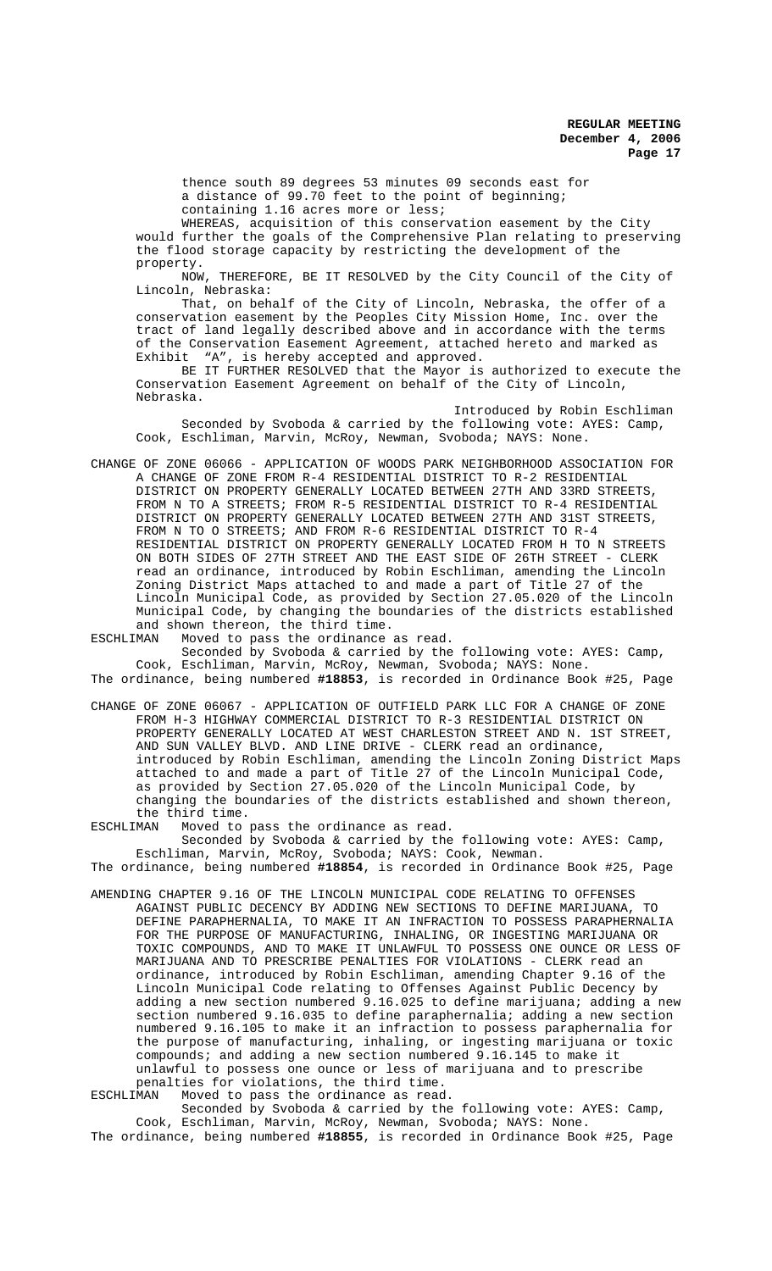thence south 89 degrees 53 minutes 09 seconds east for a distance of 99.70 feet to the point of beginning; containing 1.16 acres more or less;

WHEREAS, acquisition of this conservation easement by the City would further the goals of the Comprehensive Plan relating to preserving the flood storage capacity by restricting the development of the property.

NOW, THEREFORE, BE IT RESOLVED by the City Council of the City of Lincoln, Nebraska:

That, on behalf of the City of Lincoln, Nebraska, the offer of a conservation easement by the Peoples City Mission Home, Inc. over the tract of land legally described above and in accordance with the terms of the Conservation Easement Agreement, attached hereto and marked as Exhibit "A", is hereby accepted and approved.

BE IT FURTHER RESOLVED that the Mayor is authorized to execute the Conservation Easement Agreement on behalf of the City of Lincoln, Nebraska.

Introduced by Robin Eschliman Seconded by Svoboda & carried by the following vote: AYES: Camp, Cook, Eschliman, Marvin, McRoy, Newman, Svoboda; NAYS: None.

CHANGE OF ZONE 06066 - APPLICATION OF WOODS PARK NEIGHBORHOOD ASSOCIATION FOR A CHANGE OF ZONE FROM R-4 RESIDENTIAL DISTRICT TO R-2 RESIDENTIAL DISTRICT ON PROPERTY GENERALLY LOCATED BETWEEN 27TH AND 33RD STREETS, FROM N TO A STREETS; FROM R-5 RESIDENTIAL DISTRICT TO R-4 RESIDENTIAL DISTRICT ON PROPERTY GENERALLY LOCATED BETWEEN 27TH AND 31ST STREETS, FROM N TO O STREETS; AND FROM R-6 RESIDENTIAL DISTRICT TO R-4 RESIDENTIAL DISTRICT ON PROPERTY GENERALLY LOCATED FROM H TO N STREETS ON BOTH SIDES OF 27TH STREET AND THE EAST SIDE OF 26TH STREET - CLERK read an ordinance, introduced by Robin Eschliman, amending the Lincoln Zoning District Maps attached to and made a part of Title 27 of the Lincoln Municipal Code, as provided by Section 27.05.020 of the Lincoln Municipal Code, by changing the boundaries of the districts established and shown thereon, the third time.<br>ESCHLIMAN Moved to pass the ordinance

Moved to pass the ordinance as read. Seconded by Svoboda & carried by the following vote: AYES: Camp, Cook, Eschliman, Marvin, McRoy, Newman, Svoboda; NAYS: None.

The ordinance, being numbered **#18853**, is recorded in Ordinance Book #25, Page

CHANGE OF ZONE 06067 - APPLICATION OF OUTFIELD PARK LLC FOR A CHANGE OF ZONE FROM H-3 HIGHWAY COMMERCIAL DISTRICT TO R-3 RESIDENTIAL DISTRICT ON PROPERTY GENERALLY LOCATED AT WEST CHARLESTON STREET AND N. 1ST STREET, AND SUN VALLEY BLVD. AND LINE DRIVE - CLERK read an ordinance, introduced by Robin Eschliman, amending the Lincoln Zoning District Maps attached to and made a part of Title 27 of the Lincoln Municipal Code, as provided by Section 27.05.020 of the Lincoln Municipal Code, by changing the boundaries of the districts established and shown thereon, the third time.<br>ESCHLIMAN Moved to

Moved to pass the ordinance as read. Seconded by Svoboda & carried by the following vote: AYES: Camp,

Eschliman, Marvin, McRoy, Svoboda; NAYS: Cook, Newman. The ordinance, being numbered **#18854**, is recorded in Ordinance Book #25, Page

AMENDING CHAPTER 9.16 OF THE LINCOLN MUNICIPAL CODE RELATING TO OFFENSES AGAINST PUBLIC DECENCY BY ADDING NEW SECTIONS TO DEFINE MARIJUANA, TO DEFINE PARAPHERNALIA, TO MAKE IT AN INFRACTION TO POSSESS PARAPHERNALIA FOR THE PURPOSE OF MANUFACTURING, INHALING, OR INGESTING MARIJUANA OR TOXIC COMPOUNDS, AND TO MAKE IT UNLAWFUL TO POSSESS ONE OUNCE OR LESS OF MARIJUANA AND TO PRESCRIBE PENALTIES FOR VIOLATIONS - CLERK read an ordinance, introduced by Robin Eschliman, amending Chapter 9.16 of the Lincoln Municipal Code relating to Offenses Against Public Decency by adding a new section numbered 9.16.025 to define marijuana; adding a new section numbered 9.16.035 to define paraphernalia; adding a new section numbered 9.16.105 to make it an infraction to possess paraphernalia for the purpose of manufacturing, inhaling, or ingesting marijuana or toxic compounds; and adding a new section numbered 9.16.145 to make it unlawful to possess one ounce or less of marijuana and to prescribe penalties for violations, the third time.<br>ESCHLIMAN Woved to pass the ordinance as read

Moved to pass the ordinance as read. Seconded by Svoboda & carried by the following vote: AYES: Camp, Cook, Eschliman, Marvin, McRoy, Newman, Svoboda; NAYS: None. The ordinance, being numbered **#18855**, is recorded in Ordinance Book #25, Page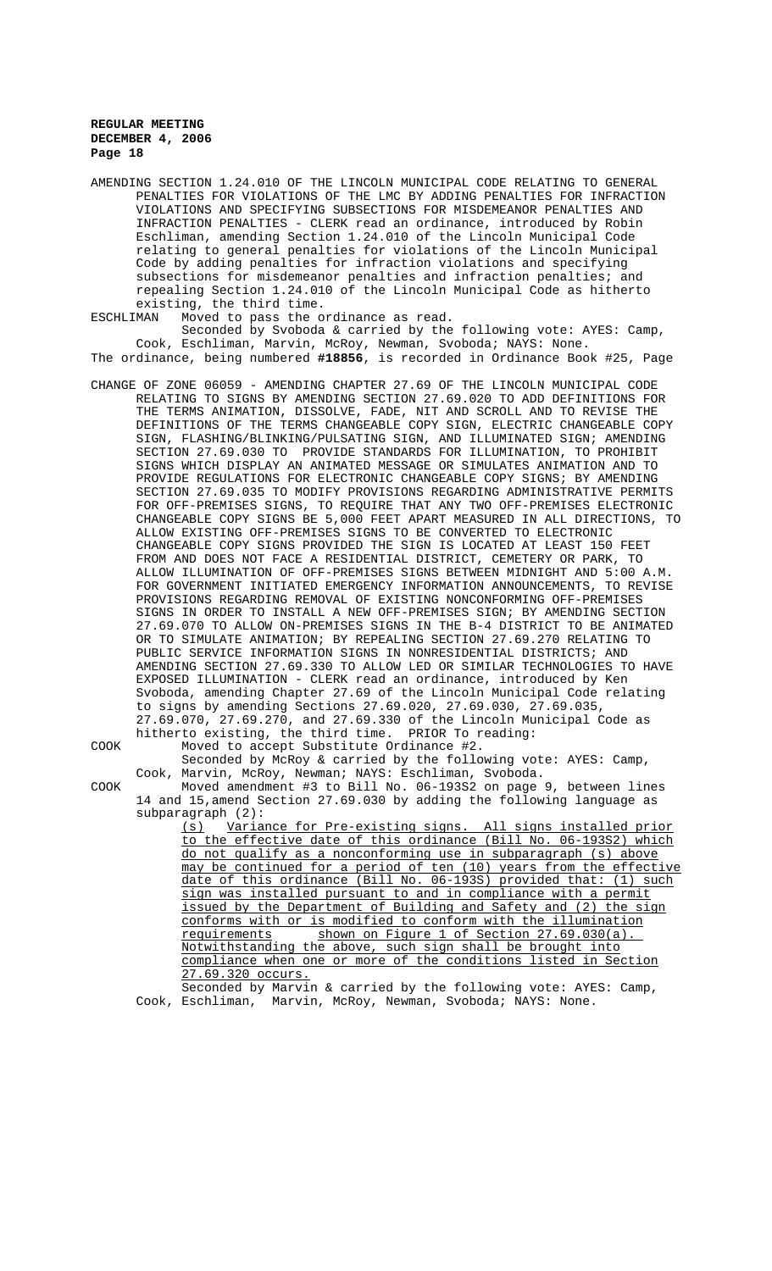AMENDING SECTION 1.24.010 OF THE LINCOLN MUNICIPAL CODE RELATING TO GENERAL PENALTIES FOR VIOLATIONS OF THE LMC BY ADDING PENALTIES FOR INFRACTION VIOLATIONS AND SPECIFYING SUBSECTIONS FOR MISDEMEANOR PENALTIES AND INFRACTION PENALTIES - CLERK read an ordinance, introduced by Robin Eschliman, amending Section 1.24.010 of the Lincoln Municipal Code relating to general penalties for violations of the Lincoln Municipal Code by adding penalties for infraction violations and specifying subsections for misdemeanor penalties and infraction penalties; and repealing Section 1.24.010 of the Lincoln Municipal Code as hitherto existing, the third time.

ESCHLIMAN Moved to pass the ordinance as read. Seconded by Svoboda & carried by the following vote: AYES: Camp, Cook, Eschliman, Marvin, McRoy, Newman, Svoboda; NAYS: None. The ordinance, being numbered **#18856**, is recorded in Ordinance Book #25, Page

CHANGE OF ZONE 06059 - AMENDING CHAPTER 27.69 OF THE LINCOLN MUNICIPAL CODE RELATING TO SIGNS BY AMENDING SECTION 27.69.020 TO ADD DEFINITIONS FOR THE TERMS ANIMATION, DISSOLVE, FADE, NIT AND SCROLL AND TO REVISE THE DEFINITIONS OF THE TERMS CHANGEABLE COPY SIGN, ELECTRIC CHANGEABLE COPY SIGN, FLASHING/BLINKING/PULSATING SIGN, AND ILLUMINATED SIGN; AMENDING SECTION 27.69.030 TO PROVIDE STANDARDS FOR ILLUMINATION, TO PROHIBIT SIGNS WHICH DISPLAY AN ANIMATED MESSAGE OR SIMULATES ANIMATION AND TO PROVIDE REGULATIONS FOR ELECTRONIC CHANGEABLE COPY SIGNS; BY AMENDING SECTION 27.69.035 TO MODIFY PROVISIONS REGARDING ADMINISTRATIVE PERMITS FOR OFF-PREMISES SIGNS, TO REQUIRE THAT ANY TWO OFF-PREMISES ELECTRONIC CHANGEABLE COPY SIGNS BE 5,000 FEET APART MEASURED IN ALL DIRECTIONS, TO ALLOW EXISTING OFF-PREMISES SIGNS TO BE CONVERTED TO ELECTRONIC CHANGEABLE COPY SIGNS PROVIDED THE SIGN IS LOCATED AT LEAST 150 FEET FROM AND DOES NOT FACE A RESIDENTIAL DISTRICT, CEMETERY OR PARK, TO ALLOW ILLUMINATION OF OFF-PREMISES SIGNS BETWEEN MIDNIGHT AND 5:00 A.M. FOR GOVERNMENT INITIATED EMERGENCY INFORMATION ANNOUNCEMENTS, TO REVISE PROVISIONS REGARDING REMOVAL OF EXISTING NONCONFORMING OFF-PREMISES SIGNS IN ORDER TO INSTALL A NEW OFF-PREMISES SIGN; BY AMENDING SECTION 27.69.070 TO ALLOW ON-PREMISES SIGNS IN THE B-4 DISTRICT TO BE ANIMATED OR TO SIMULATE ANIMATION; BY REPEALING SECTION 27.69.270 RELATING TO PUBLIC SERVICE INFORMATION SIGNS IN NONRESIDENTIAL DISTRICTS; AND AMENDING SECTION 27.69.330 TO ALLOW LED OR SIMILAR TECHNOLOGIES TO HAVE EXPOSED ILLUMINATION - CLERK read an ordinance, introduced by Ken Svoboda, amending Chapter 27.69 of the Lincoln Municipal Code relating to signs by amending Sections 27.69.020, 27.69.030, 27.69.035, 27.69.070, 27.69.270, and 27.69.330 of the Lincoln Municipal Code as hitherto existing, the third time. PRIOR To reading:

COOK Moved to accept Substitute Ordinance #2.

Seconded by McRoy & carried by the following vote: AYES: Camp, Cook, Marvin, McRoy, Newman; NAYS: Eschliman, Svoboda.

COOK Moved amendment #3 to Bill No. 06-193S2 on page 9, between lines 14 and 15,amend Section 27.69.030 by adding the following language as subparagraph (2):

(s) Variance for Pre-existing signs. All signs installed prior to the effective date of this ordinance (Bill No. 06-193S2) which do not qualify as a nonconforming use in subparagraph (s) above may be continued for a period of ten (10) years from the effective date of this ordinance (Bill No. 06-193S) provided that: (1) such sign was installed pursuant to and in compliance with a permit issued by the Department of Building and Safety and (2) the sign conforms with or is modified to conform with the illumination requirements shown on Figure 1 of Section 27.69.030(a). Notwithstanding the above, such sign shall be brought into compliance when one or more of the conditions listed in Section 27.69.320 occurs.

Seconded by Marvin & carried by the following vote: AYES: Camp, Cook, Eschliman, Marvin, McRoy, Newman, Svoboda; NAYS: None.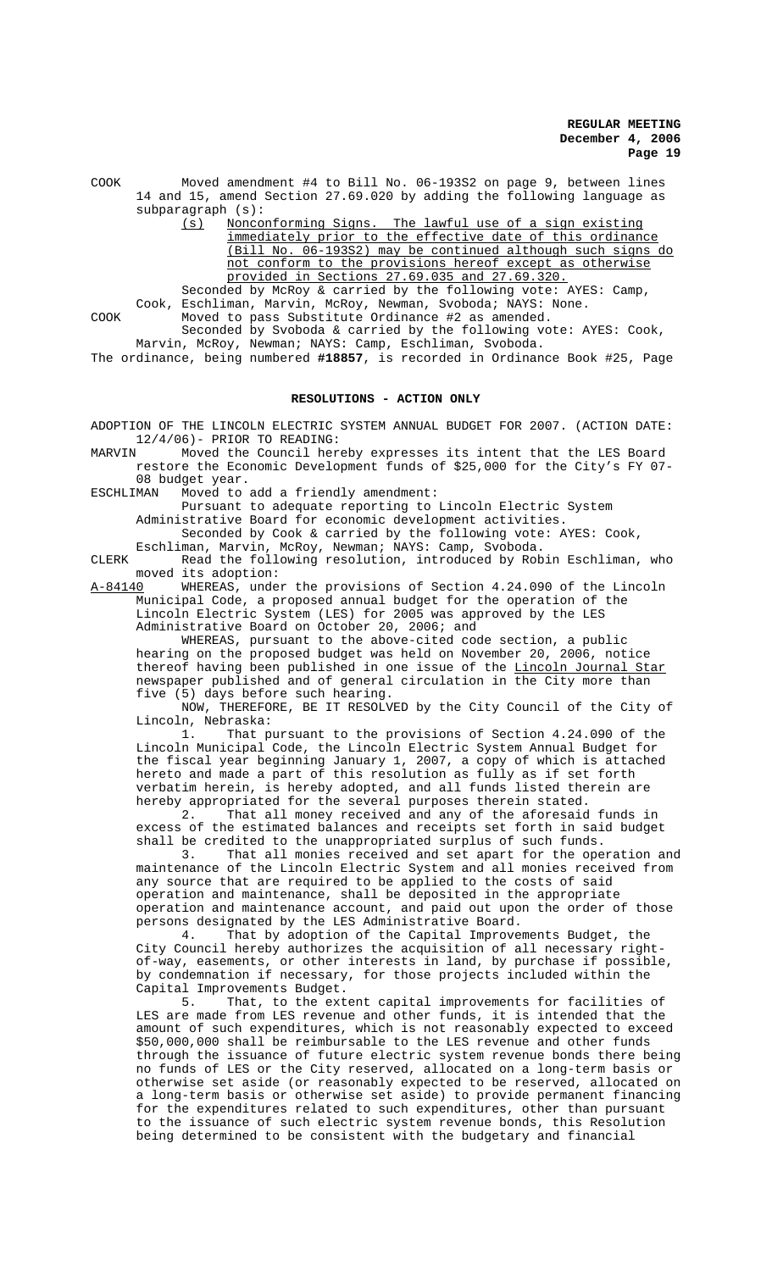COOK Moved amendment #4 to Bill No. 06-193S2 on page 9, between lines 14 and 15, amend Section 27.69.020 by adding the following language as subparagraph (s):

(s) Nonconforming Signs. The lawful use of a sign existing immediately prior to the effective date of this ordinance (Bill No. 06-193S2) may be continued although such signs do not conform to the provisions hereof except as otherwise provided in Sections 27.69.035 and 27.69.320.

Seconded by McRoy & carried by the following vote: AYES: Camp, Cook, Eschliman, Marvin, McRoy, Newman, Svoboda; NAYS: None. COOK Moved to pass Substitute Ordinance #2 as amended.

Seconded by Svoboda & carried by the following vote: AYES: Cook,

Marvin, McRoy, Newman; NAYS: Camp, Eschliman, Svoboda. The ordinance, being numbered **#18857**, is recorded in Ordinance Book #25, Page

## **RESOLUTIONS - ACTION ONLY**

ADOPTION OF THE LINCOLN ELECTRIC SYSTEM ANNUAL BUDGET FOR 2007. (ACTION DATE: 12/4/06)- PRIOR TO READING:<br>MARVIN Moved the Council here

Moved the Council hereby expresses its intent that the LES Board restore the Economic Development funds of \$25,000 for the City's FY 07- 08 budget year.

ESCHLIMAN Moved to add a friendly amendment:

Pursuant to adequate reporting to Lincoln Electric System Administrative Board for economic development activities.

Seconded by Cook & carried by the following vote: AYES: Cook, Eschliman, Marvin, McRoy, Newman; NAYS: Camp, Svoboda.

CLERK Read the following resolution, introduced by Robin Eschliman, who moved its adoption:

A-84140 WHEREAS, under the provisions of Section 4.24.090 of the Lincoln Municipal Code, a proposed annual budget for the operation of the Lincoln Electric System (LES) for 2005 was approved by the LES Administrative Board on October 20, 2006; and

WHEREAS, pursuant to the above-cited code section, a public hearing on the proposed budget was held on November 20, 2006, notice thereof having been published in one issue of the <u>Lincoln Journal Star</u> newspaper published and of general circulation in the City more than five (5) days before such hearing.

NOW, THEREFORE, BE IT RESOLVED by the City Council of the City of Lincoln, Nebraska:

1. That pursuant to the provisions of Section 4.24.090 of the Lincoln Municipal Code, the Lincoln Electric System Annual Budget for the fiscal year beginning January 1, 2007, a copy of which is attached hereto and made a part of this resolution as fully as if set forth verbatim herein, is hereby adopted, and all funds listed therein are hereby appropriated for the several purposes therein stated.

2. That all money received and any of the aforesaid funds in excess of the estimated balances and receipts set forth in said budget shall be credited to the unappropriated surplus of such funds.

3. That all monies received and set apart for the operation and maintenance of the Lincoln Electric System and all monies received from any source that are required to be applied to the costs of said operation and maintenance, shall be deposited in the appropriate operation and maintenance account, and paid out upon the order of those persons designated by the LES Administrative Board.<br>4. That by adoption of the Capital Improve

That by adoption of the Capital Improvements Budget, the City Council hereby authorizes the acquisition of all necessary rightof-way, easements, or other interests in land, by purchase if possible, by condemnation if necessary, for those projects included within the

Capital Improvements Budget.<br>5. That, to the ext That, to the extent capital improvements for facilities of LES are made from LES revenue and other funds, it is intended that the amount of such expenditures, which is not reasonably expected to exceed \$50,000,000 shall be reimbursable to the LES revenue and other funds through the issuance of future electric system revenue bonds there being no funds of LES or the City reserved, allocated on a long-term basis or otherwise set aside (or reasonably expected to be reserved, allocated on a long-term basis or otherwise set aside) to provide permanent financing for the expenditures related to such expenditures, other than pursuant to the issuance of such electric system revenue bonds, this Resolution being determined to be consistent with the budgetary and financial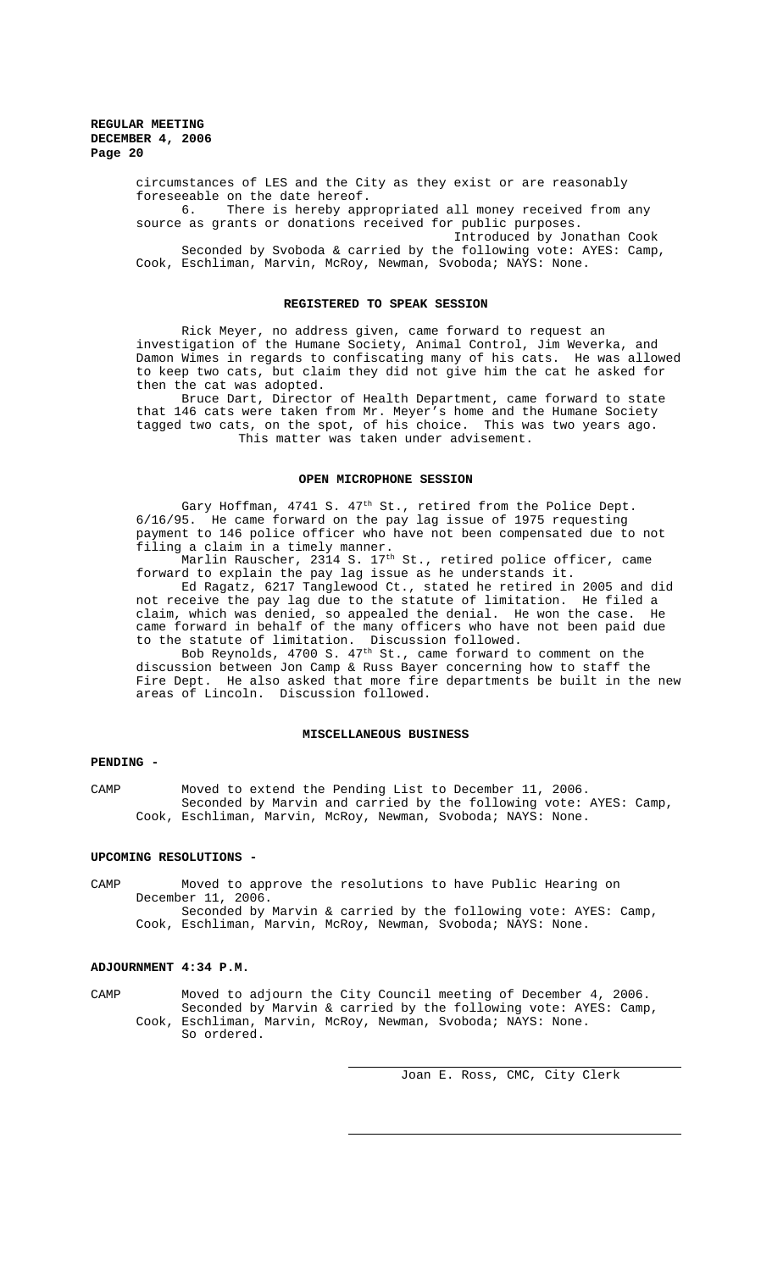circumstances of LES and the City as they exist or are reasonably foreseeable on the date hereof.

6. There is hereby appropriated all money received from any source as grants or donations received for public purposes.

Introduced by Jonathan Cook Seconded by Svoboda & carried by the following vote: AYES: Camp, Cook, Eschliman, Marvin, McRoy, Newman, Svoboda; NAYS: None.

## **REGISTERED TO SPEAK SESSION**

Rick Meyer, no address given, came forward to request an investigation of the Humane Society, Animal Control, Jim Weverka, and Damon Wimes in regards to confiscating many of his cats. He was allowed to keep two cats, but claim they did not give him the cat he asked for then the cat was adopted.

Bruce Dart, Director of Health Department, came forward to state that 146 cats were taken from Mr. Meyer's home and the Humane Society tagged two cats, on the spot, of his choice. This was two years ago. This matter was taken under advisement.

## **OPEN MICROPHONE SESSION**

Gary Hoffman, 4741 S.  $47<sup>th</sup>$  St., retired from the Police Dept. 6/16/95. He came forward on the pay lag issue of 1975 requesting payment to 146 police officer who have not been compensated due to not filing a claim in a timely manner.

Marlin Rauscher, 2314 S. 17<sup>th</sup> St., retired police officer, came forward to explain the pay lag issue as he understands it.

Ed Ragatz, 6217 Tanglewood Ct., stated he retired in 2005 and did not receive the pay lag due to the statute of limitation. He filed a claim, which was denied, so appealed the denial. He won the case. He came forward in behalf of the many officers who have not been paid due to the statute of limitation. Discussion followed.

Bob Reynolds,  $4700$  S.  $47^{\text{th}}$  St., came forward to comment on the discussion between Jon Camp & Russ Bayer concerning how to staff the Fire Dept. He also asked that more fire departments be built in the new areas of Lincoln. Discussion followed.

## **MISCELLANEOUS BUSINESS**

# **PENDING -**

CAMP Moved to extend the Pending List to December 11, 2006. Seconded by Marvin and carried by the following vote: AYES: Camp, Cook, Eschliman, Marvin, McRoy, Newman, Svoboda; NAYS: None.

### **UPCOMING RESOLUTIONS -**

CAMP Moved to approve the resolutions to have Public Hearing on December 11, 2006. Seconded by Marvin & carried by the following vote: AYES: Camp, Cook, Eschliman, Marvin, McRoy, Newman, Svoboda; NAYS: None.

## **ADJOURNMENT 4:34 P.M.**

CAMP Moved to adjourn the City Council meeting of December 4, 2006. Seconded by Marvin & carried by the following vote: AYES: Camp, Cook, Eschliman, Marvin, McRoy, Newman, Svoboda; NAYS: None. So ordered.

Joan E. Ross, CMC, City Clerk